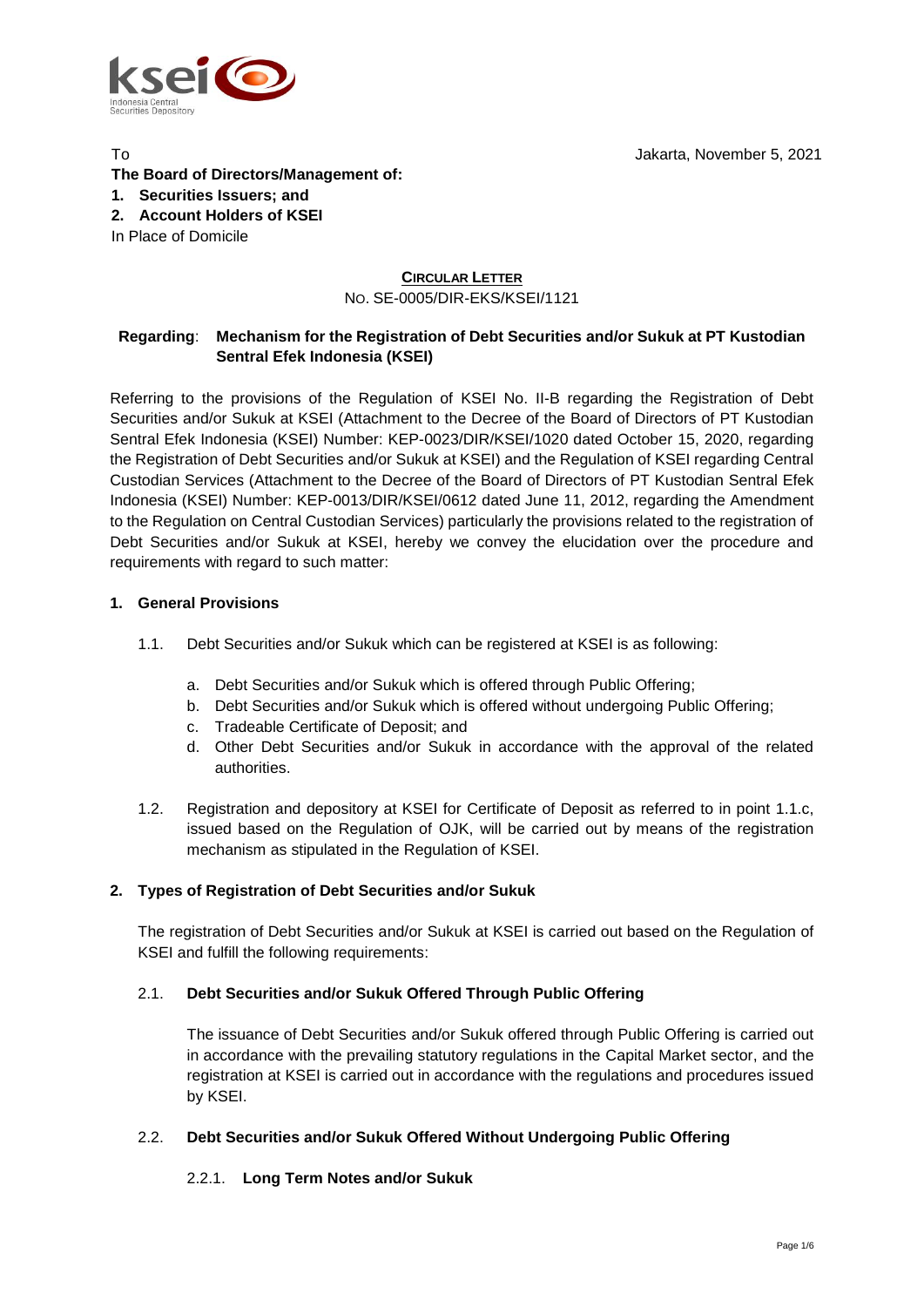

Jakarta, November 5, 2021

# **The Board of Directors/Management of:**

# **1. Securities Issuers; and**

**2. Account Holders of KSEI**

In Place of Domicile

To

# **CIRCULAR LETTER** NO. SE-0005/DIR-EKS/KSEI/1121

# **Regarding**: **Mechanism for the Registration of Debt Securities and/or Sukuk at PT Kustodian Sentral Efek Indonesia (KSEI)**

Referring to the provisions of the Regulation of KSEI No. II-B regarding the Registration of Debt Securities and/or Sukuk at KSEI (Attachment to the Decree of the Board of Directors of PT Kustodian Sentral Efek Indonesia (KSEI) Number: KEP-0023/DIR/KSEI/1020 dated October 15, 2020, regarding the Registration of Debt Securities and/or Sukuk at KSEI) and the Regulation of KSEI regarding Central Custodian Services (Attachment to the Decree of the Board of Directors of PT Kustodian Sentral Efek Indonesia (KSEI) Number: KEP-0013/DIR/KSEI/0612 dated June 11, 2012, regarding the Amendment to the Regulation on Central Custodian Services) particularly the provisions related to the registration of Debt Securities and/or Sukuk at KSEI, hereby we convey the elucidation over the procedure and requirements with regard to such matter:

# **1. General Provisions**

- 1.1. Debt Securities and/or Sukuk which can be registered at KSEI is as following:
	- a. Debt Securities and/or Sukuk which is offered through Public Offering;
	- b. Debt Securities and/or Sukuk which is offered without undergoing Public Offering;
	- c. Tradeable Certificate of Deposit; and
	- d. Other Debt Securities and/or Sukuk in accordance with the approval of the related authorities.
- 1.2. Registration and depository at KSEI for Certificate of Deposit as referred to in point 1.1.c, issued based on the Regulation of OJK, will be carried out by means of the registration mechanism as stipulated in the Regulation of KSEI.

# **2. Types of Registration of Debt Securities and/or Sukuk**

The registration of Debt Securities and/or Sukuk at KSEI is carried out based on the Regulation of KSEI and fulfill the following requirements:

# 2.1. **Debt Securities and/or Sukuk Offered Through Public Offering**

The issuance of Debt Securities and/or Sukuk offered through Public Offering is carried out in accordance with the prevailing statutory regulations in the Capital Market sector, and the registration at KSEI is carried out in accordance with the regulations and procedures issued by KSEI.

# 2.2. **Debt Securities and/or Sukuk Offered Without Undergoing Public Offering**

# 2.2.1. **Long Term Notes and/or Sukuk**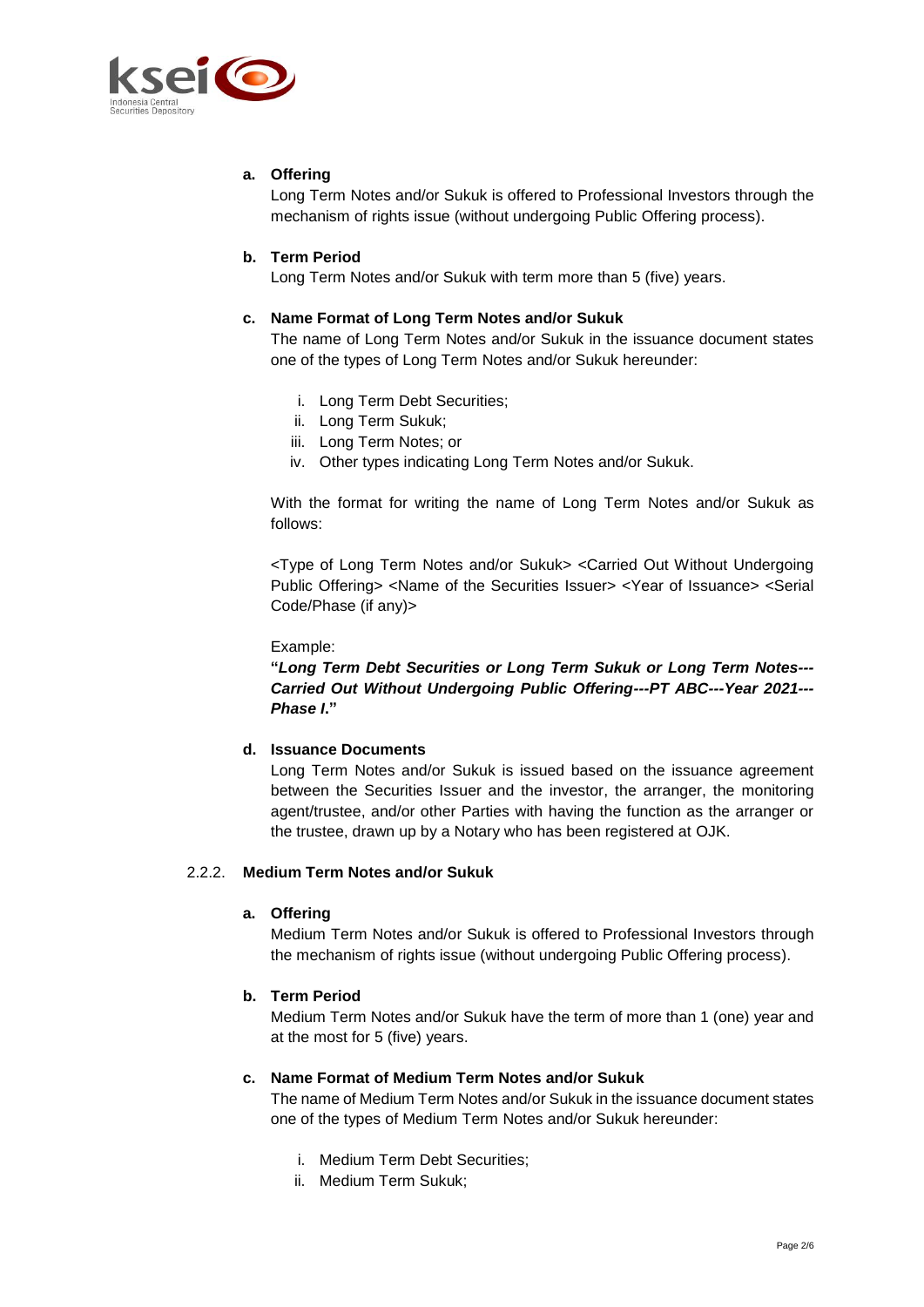

# **a. Offering**

Long Term Notes and/or Sukuk is offered to Professional Investors through the mechanism of rights issue (without undergoing Public Offering process).

# **b. Term Period**

Long Term Notes and/or Sukuk with term more than 5 (five) years.

#### **c. Name Format of Long Term Notes and/or Sukuk**

The name of Long Term Notes and/or Sukuk in the issuance document states one of the types of Long Term Notes and/or Sukuk hereunder:

- i. Long Term Debt Securities;
- ii. Long Term Sukuk;
- iii. Long Term Notes; or
- iv. Other types indicating Long Term Notes and/or Sukuk.

With the format for writing the name of Long Term Notes and/or Sukuk as follows:

<Type of Long Term Notes and/or Sukuk> <Carried Out Without Undergoing Public Offering> <Name of the Securities Issuer> <Year of Issuance> <Serial Code/Phase (if any)>

Example:

**"***Long Term Debt Securities or Long Term Sukuk or Long Term Notes--- Carried Out Without Undergoing Public Offering---PT ABC---Year 2021--- Phase I***."** 

#### **d. Issuance Documents**

Long Term Notes and/or Sukuk is issued based on the issuance agreement between the Securities Issuer and the investor, the arranger, the monitoring agent/trustee, and/or other Parties with having the function as the arranger or the trustee, drawn up by a Notary who has been registered at OJK.

#### 2.2.2. **Medium Term Notes and/or Sukuk**

#### **a. Offering**

Medium Term Notes and/or Sukuk is offered to Professional Investors through the mechanism of rights issue (without undergoing Public Offering process).

# **b. Term Period**

Medium Term Notes and/or Sukuk have the term of more than 1 (one) year and at the most for 5 (five) years.

#### **c. Name Format of Medium Term Notes and/or Sukuk**

The name of Medium Term Notes and/or Sukuk in the issuance document states one of the types of Medium Term Notes and/or Sukuk hereunder:

- i. Medium Term Debt Securities;
- ii. Medium Term Sukuk;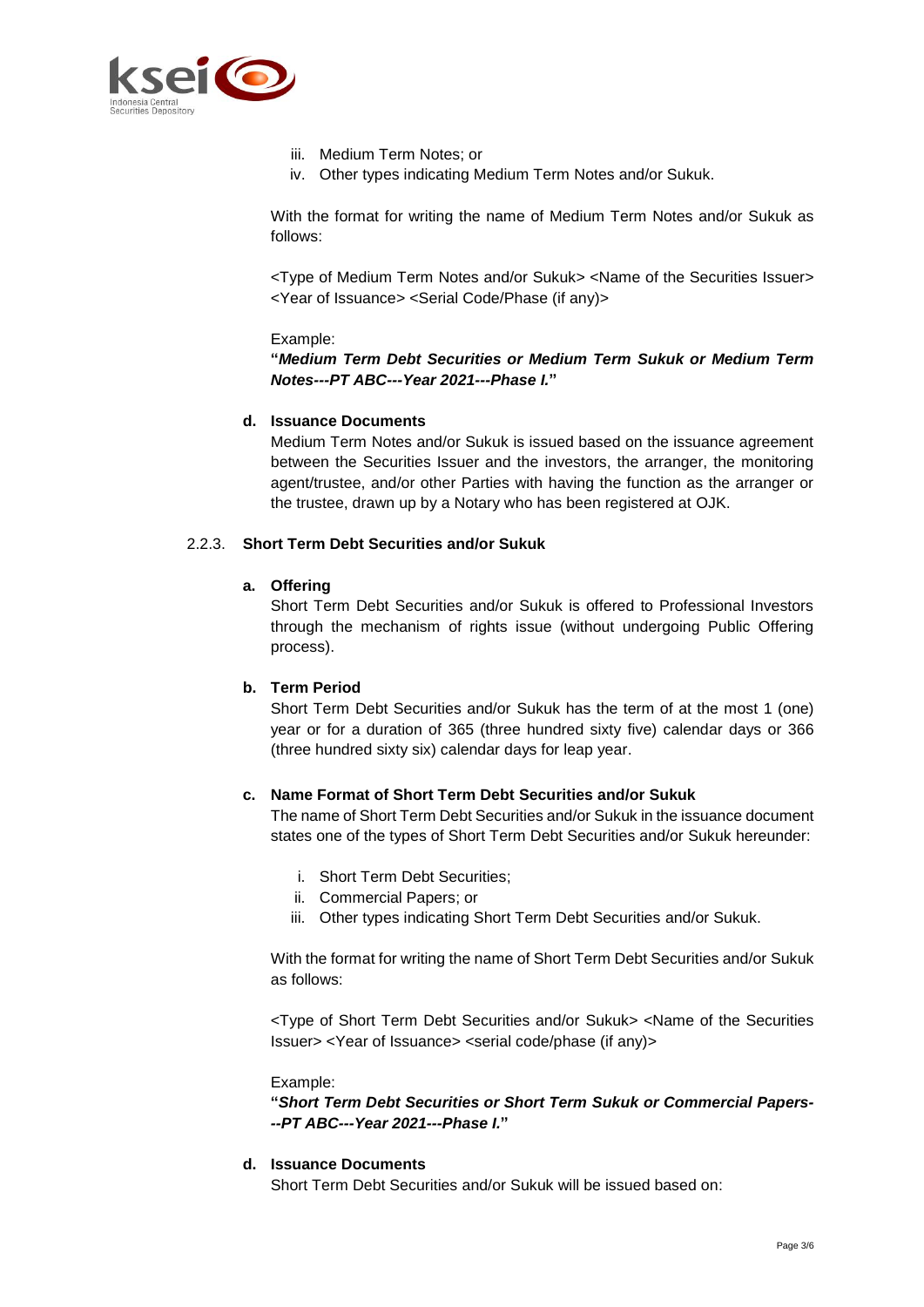

- iii. Medium Term Notes; or
- iv. Other types indicating Medium Term Notes and/or Sukuk.

With the format for writing the name of Medium Term Notes and/or Sukuk as follows:

<Type of Medium Term Notes and/or Sukuk> <Name of the Securities Issuer> <Year of Issuance> <Serial Code/Phase (if any)>

#### Example:

### **"***Medium Term Debt Securities or Medium Term Sukuk or Medium Term Notes---PT ABC---Year 2021---Phase I.***"**

### **d. Issuance Documents**

Medium Term Notes and/or Sukuk is issued based on the issuance agreement between the Securities Issuer and the investors, the arranger, the monitoring agent/trustee, and/or other Parties with having the function as the arranger or the trustee, drawn up by a Notary who has been registered at OJK.

#### 2.2.3. **Short Term Debt Securities and/or Sukuk**

#### **a. Offering**

Short Term Debt Securities and/or Sukuk is offered to Professional Investors through the mechanism of rights issue (without undergoing Public Offering process).

# **b. Term Period**

Short Term Debt Securities and/or Sukuk has the term of at the most 1 (one) year or for a duration of 365 (three hundred sixty five) calendar days or 366 (three hundred sixty six) calendar days for leap year.

# **c. Name Format of Short Term Debt Securities and/or Sukuk**

The name of Short Term Debt Securities and/or Sukuk in the issuance document states one of the types of Short Term Debt Securities and/or Sukuk hereunder:

- i. Short Term Debt Securities;
- ii. Commercial Papers; or
- iii. Other types indicating Short Term Debt Securities and/or Sukuk.

With the format for writing the name of Short Term Debt Securities and/or Sukuk as follows:

<Type of Short Term Debt Securities and/or Sukuk> <Name of the Securities Issuer> <Year of Issuance> <serial code/phase (if any)>

Example:

**"***Short Term Debt Securities or Short Term Sukuk or Commercial Papers- --PT ABC---Year 2021---Phase I.***"**

#### **d. Issuance Documents**

Short Term Debt Securities and/or Sukuk will be issued based on: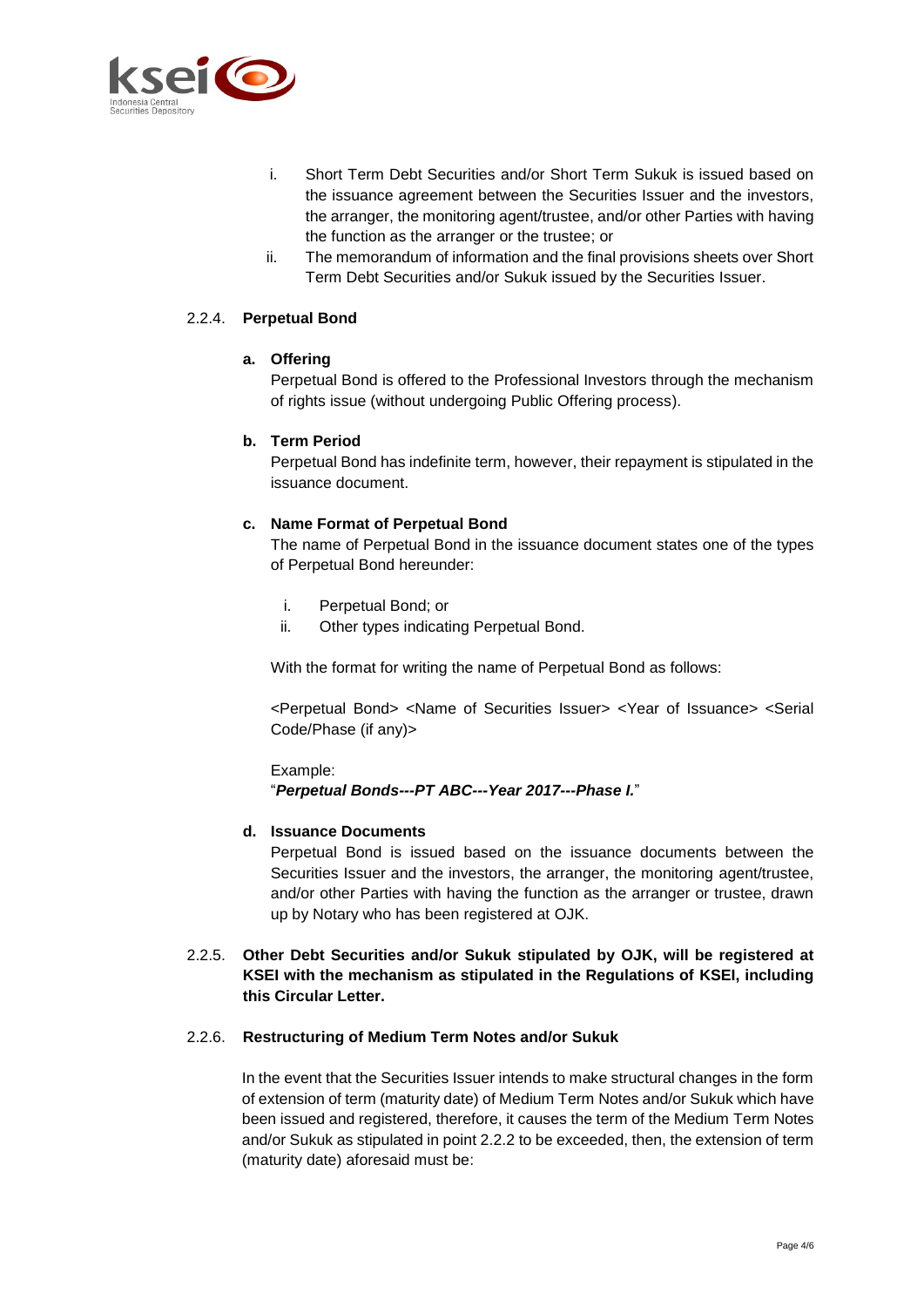

- i. Short Term Debt Securities and/or Short Term Sukuk is issued based on the issuance agreement between the Securities Issuer and the investors, the arranger, the monitoring agent/trustee, and/or other Parties with having the function as the arranger or the trustee; or
- ii. The memorandum of information and the final provisions sheets over Short Term Debt Securities and/or Sukuk issued by the Securities Issuer.

# 2.2.4. **Perpetual Bond**

#### **a. Offering**

Perpetual Bond is offered to the Professional Investors through the mechanism of rights issue (without undergoing Public Offering process).

#### **b. Term Period**

Perpetual Bond has indefinite term, however, their repayment is stipulated in the issuance document.

#### **c. Name Format of Perpetual Bond**

The name of Perpetual Bond in the issuance document states one of the types of Perpetual Bond hereunder:

- i. Perpetual Bond; or
- ii. Other types indicating Perpetual Bond.

With the format for writing the name of Perpetual Bond as follows:

<Perpetual Bond> <Name of Securities Issuer> <Year of Issuance> <Serial Code/Phase (if any)>

#### Example: "*Perpetual Bonds---PT ABC---Year 2017---Phase I.*"

# **d. Issuance Documents**

Perpetual Bond is issued based on the issuance documents between the Securities Issuer and the investors, the arranger, the monitoring agent/trustee, and/or other Parties with having the function as the arranger or trustee, drawn up by Notary who has been registered at OJK.

2.2.5. **Other Debt Securities and/or Sukuk stipulated by OJK, will be registered at KSEI with the mechanism as stipulated in the Regulations of KSEI, including this Circular Letter.**

#### 2.2.6. **Restructuring of Medium Term Notes and/or Sukuk**

In the event that the Securities Issuer intends to make structural changes in the form of extension of term (maturity date) of Medium Term Notes and/or Sukuk which have been issued and registered, therefore, it causes the term of the Medium Term Notes and/or Sukuk as stipulated in point 2.2.2 to be exceeded, then, the extension of term (maturity date) aforesaid must be: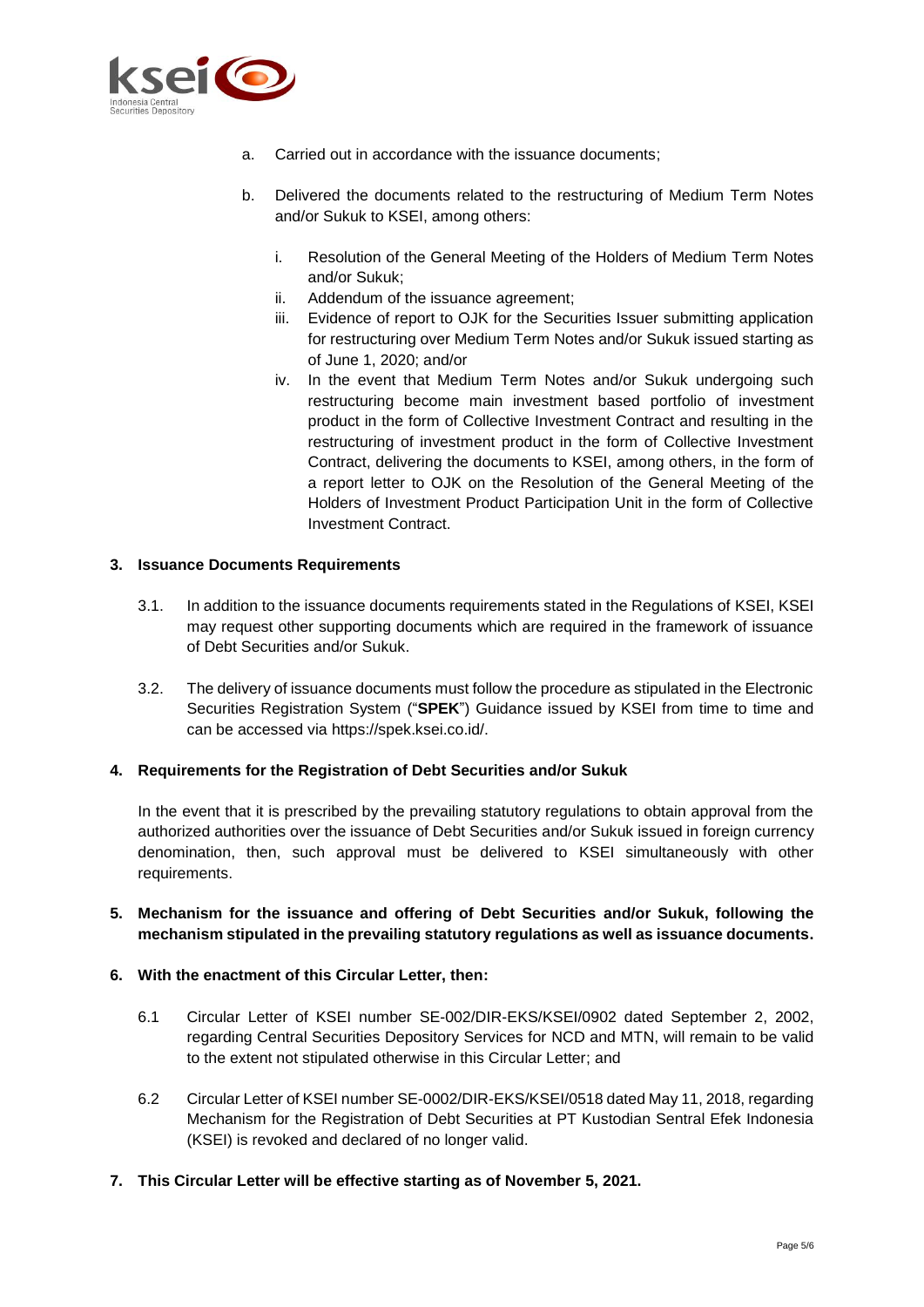

- a. Carried out in accordance with the issuance documents;
- b. Delivered the documents related to the restructuring of Medium Term Notes and/or Sukuk to KSEI, among others:
	- i. Resolution of the General Meeting of the Holders of Medium Term Notes and/or Sukuk;
	- ii. Addendum of the issuance agreement;
	- iii. Evidence of report to OJK for the Securities Issuer submitting application for restructuring over Medium Term Notes and/or Sukuk issued starting as of June 1, 2020; and/or
	- iv. In the event that Medium Term Notes and/or Sukuk undergoing such restructuring become main investment based portfolio of investment product in the form of Collective Investment Contract and resulting in the restructuring of investment product in the form of Collective Investment Contract, delivering the documents to KSEI, among others, in the form of a report letter to OJK on the Resolution of the General Meeting of the Holders of Investment Product Participation Unit in the form of Collective Investment Contract.

# **3. Issuance Documents Requirements**

- 3.1. In addition to the issuance documents requirements stated in the Regulations of KSEI, KSEI may request other supporting documents which are required in the framework of issuance of Debt Securities and/or Sukuk.
- 3.2. The delivery of issuance documents must follow the procedure as stipulated in the Electronic Securities Registration System ("**SPEK**") Guidance issued by KSEI from time to time and can be accessed via https://spek.ksei.co.id/.

# **4. Requirements for the Registration of Debt Securities and/or Sukuk**

In the event that it is prescribed by the prevailing statutory regulations to obtain approval from the authorized authorities over the issuance of Debt Securities and/or Sukuk issued in foreign currency denomination, then, such approval must be delivered to KSEI simultaneously with other requirements.

# **5. Mechanism for the issuance and offering of Debt Securities and/or Sukuk, following the mechanism stipulated in the prevailing statutory regulations as well as issuance documents.**

# **6. With the enactment of this Circular Letter, then:**

- 6.1 Circular Letter of KSEI number SE-002/DIR-EKS/KSEI/0902 dated September 2, 2002, regarding Central Securities Depository Services for NCD and MTN, will remain to be valid to the extent not stipulated otherwise in this Circular Letter; and
- 6.2 Circular Letter of KSEI number SE-0002/DIR-EKS/KSEI/0518 dated May 11, 2018, regarding Mechanism for the Registration of Debt Securities at PT Kustodian Sentral Efek Indonesia (KSEI) is revoked and declared of no longer valid.
- **7. This Circular Letter will be effective starting as of November 5, 2021.**